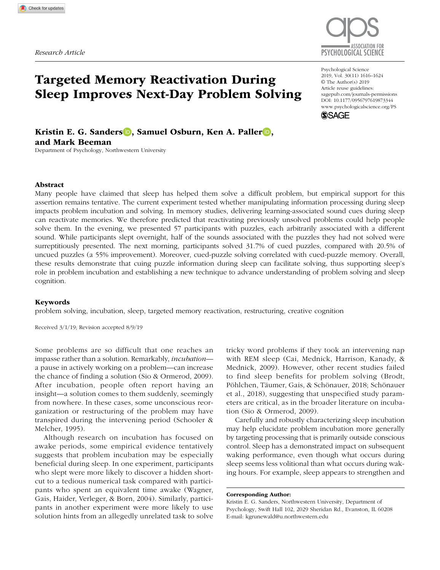

# Targeted Memory Reactivation During Sleep Improves Next-Day Problem Solving

Psychological Science 2019, Vol. 30(11) 1616–1624 © The Author(s) 2019 Article reuse guidelines: [sagepub.com/journals-permissions](https://sagepub.com/journals-permissions) DOI: 10.1177/0956797619873344 [www.psychologicalscience.org/PS](http://www.psychologicalscience.org/ps) **SSAGE** 

Kristin E. G. Sanders D. Samuel Osburn, Ken A. Paller D. and Mark Beeman

Department of Psychology, Northwestern University

#### Abstract

Many people have claimed that sleep has helped them solve a difficult problem, but empirical support for this assertion remains tentative. The current experiment tested whether manipulating information processing during sleep impacts problem incubation and solving. In memory studies, delivering learning-associated sound cues during sleep can reactivate memories. We therefore predicted that reactivating previously unsolved problems could help people solve them. In the evening, we presented 57 participants with puzzles, each arbitrarily associated with a different sound. While participants slept overnight, half of the sounds associated with the puzzles they had not solved were surreptitiously presented. The next morning, participants solved 31.7% of cued puzzles, compared with 20.5% of uncued puzzles (a 55% improvement). Moreover, cued-puzzle solving correlated with cued-puzzle memory. Overall, these results demonstrate that cuing puzzle information during sleep can facilitate solving, thus supporting sleep's role in problem incubation and establishing a new technique to advance understanding of problem solving and sleep cognition.

#### Keywords

problem solving, incubation, sleep, targeted memory reactivation, restructuring, creative cognition

Received 3/1/19; Revision accepted 8/9/19

Some problems are so difficult that one reaches an impasse rather than a solution. Remarkably, *incubation* a pause in actively working on a problem—can increase the chance of finding a solution (Sio & Ormerod, 2009). After incubation, people often report having an insight—a solution comes to them suddenly, seemingly from nowhere. In these cases, some unconscious reorganization or restructuring of the problem may have transpired during the intervening period (Schooler & Melcher, 1995).

Although research on incubation has focused on awake periods, some empirical evidence tentatively suggests that problem incubation may be especially beneficial during sleep. In one experiment, participants who slept were more likely to discover a hidden shortcut to a tedious numerical task compared with participants who spent an equivalent time awake (Wagner, Gais, Haider, Verleger, & Born, 2004). Similarly, participants in another experiment were more likely to use solution hints from an allegedly unrelated task to solve

tricky word problems if they took an intervening nap with REM sleep (Cai, Mednick, Harrison, Kanady, & Mednick, 2009). However, other recent studies failed to find sleep benefits for problem solving (Brodt, Pöhlchen, Täumer, Gais, & Schönauer, 2018; Schönauer et al., 2018), suggesting that unspecified study parameters are critical, as in the broader literature on incubation (Sio & Ormerod, 2009).

Carefully and robustly characterizing sleep incubation may help elucidate problem incubation more generally by targeting processing that is primarily outside conscious control. Sleep has a demonstrated impact on subsequent waking performance, even though what occurs during sleep seems less volitional than what occurs during waking hours. For example, sleep appears to strengthen and

Corresponding Author:

Kristin E. G. Sanders, Northwestern University, Department of Psychology, Swift Hall 102, 2029 Sheridan Rd., Evanston, IL 60208 E-mail: [kgrunewald@u.northwestern.edu](mailto:kgrunewald@u.northwestern.edu)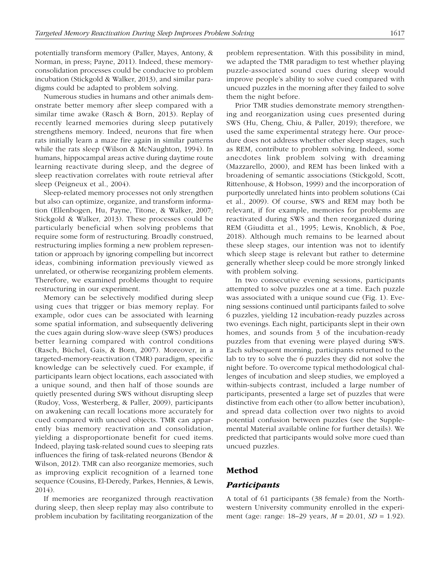potentially transform memory (Paller, Mayes, Antony, & Norman, in press; Payne, 2011). Indeed, these memoryconsolidation processes could be conducive to problem incubation (Stickgold & Walker, 2013), and similar paradigms could be adapted to problem solving.

Numerous studies in humans and other animals demonstrate better memory after sleep compared with a similar time awake (Rasch & Born, 2013). Replay of recently learned memories during sleep putatively strengthens memory. Indeed, neurons that fire when rats initially learn a maze fire again in similar patterns while the rats sleep (Wilson & McNaughton, 1994). In humans, hippocampal areas active during daytime route learning reactivate during sleep, and the degree of sleep reactivation correlates with route retrieval after sleep (Peigneux et al., 2004).

Sleep-related memory processes not only strengthen but also can optimize, organize, and transform information (Ellenbogen, Hu, Payne, Titone, & Walker, 2007; Stickgold & Walker, 2013). These processes could be particularly beneficial when solving problems that require some form of restructuring. Broadly construed, restructuring implies forming a new problem representation or approach by ignoring compelling but incorrect ideas, combining information previously viewed as unrelated, or otherwise reorganizing problem elements. Therefore, we examined problems thought to require restructuring in our experiment.

Memory can be selectively modified during sleep using cues that trigger or bias memory replay. For example, odor cues can be associated with learning some spatial information, and subsequently delivering the cues again during slow-wave sleep (SWS) produces better learning compared with control conditions (Rasch, Büchel, Gais, & Born, 2007). Moreover, in a targeted-memory-reactivation (TMR) paradigm, specific knowledge can be selectively cued. For example, if participants learn object locations, each associated with a unique sound, and then half of those sounds are quietly presented during SWS without disrupting sleep (Rudoy, Voss, Westerberg, & Paller, 2009), participants on awakening can recall locations more accurately for cued compared with uncued objects. TMR can apparently bias memory reactivation and consolidation, yielding a disproportionate benefit for cued items. Indeed, playing task-related sound cues to sleeping rats influences the firing of task-related neurons (Bendor & Wilson, 2012). TMR can also reorganize memories, such as improving explicit recognition of a learned tone sequence (Cousins, El-Deredy, Parkes, Hennies, & Lewis, 2014).

If memories are reorganized through reactivation during sleep, then sleep replay may also contribute to problem incubation by facilitating reorganization of the problem representation. With this possibility in mind, we adapted the TMR paradigm to test whether playing puzzle-associated sound cues during sleep would improve people's ability to solve cued compared with uncued puzzles in the morning after they failed to solve them the night before.

Prior TMR studies demonstrate memory strengthening and reorganization using cues presented during SWS (Hu, Cheng, Chiu, & Paller, 2019); therefore, we used the same experimental strategy here. Our procedure does not address whether other sleep stages, such as REM, contribute to problem solving. Indeed, some anecdotes link problem solving with dreaming (Mazzarello, 2000), and REM has been linked with a broadening of semantic associations (Stickgold, Scott, Rittenhouse, & Hobson, 1999) and the incorporation of purportedly unrelated hints into problem solutions (Cai et al., 2009). Of course, SWS and REM may both be relevant, if for example, memories for problems are reactivated during SWS and then reorganized during REM (Giuditta et al., 1995; Lewis, Knoblich, & Poe, 2018). Although much remains to be learned about these sleep stages, our intention was not to identify which sleep stage is relevant but rather to determine generally whether sleep could be more strongly linked with problem solving.

In two consecutive evening sessions, participants attempted to solve puzzles one at a time. Each puzzle was associated with a unique sound cue (Fig. 1). Evening sessions continued until participants failed to solve 6 puzzles, yielding 12 incubation-ready puzzles across two evenings. Each night, participants slept in their own homes, and sounds from 3 of the incubation-ready puzzles from that evening were played during SWS. Each subsequent morning, participants returned to the lab to try to solve the 6 puzzles they did not solve the night before. To overcome typical methodological challenges of incubation and sleep studies, we employed a within-subjects contrast, included a large number of participants, presented a large set of puzzles that were distinctive from each other (to allow better incubation), and spread data collection over two nights to avoid potential confusion between puzzles (see the Supplemental Material available online for further details). We predicted that participants would solve more cued than uncued puzzles.

# Method

# *Participants*

A total of 61 participants (38 female) from the Northwestern University community enrolled in the experiment (age: range: 18–29 years, *M =* 20.01, *SD* = 1.92).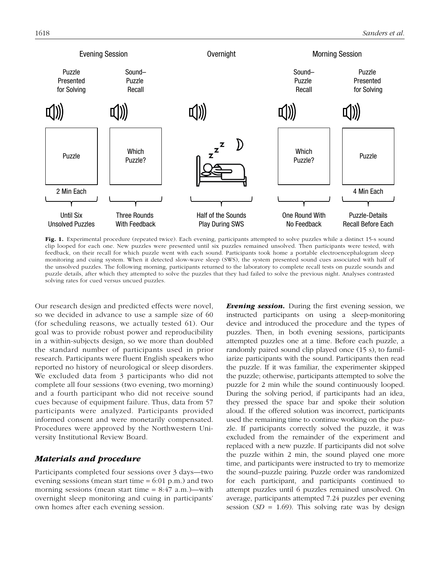

Fig. 1. Experimental procedure (repeated twice). Each evening, participants attempted to solve puzzles while a distinct 15-s sound clip looped for each one. New puzzles were presented until six puzzles remained unsolved. Then participants were tested, with feedback, on their recall for which puzzle went with each sound. Participants took home a portable electroencephalogram sleep monitoring and cuing system. When it detected slow-wave sleep (SWS), the system presented sound cues associated with half of the unsolved puzzles. The following morning, participants returned to the laboratory to complete recall tests on puzzle sounds and puzzle details, after which they attempted to solve the puzzles that they had failed to solve the previous night. Analyses contrasted solving rates for cued versus uncued puzzles.

Our research design and predicted effects were novel, so we decided in advance to use a sample size of 60 (for scheduling reasons, we actually tested 61). Our goal was to provide robust power and reproducibility in a within-subjects design, so we more than doubled the standard number of participants used in prior research. Participants were fluent English speakers who reported no history of neurological or sleep disorders. We excluded data from 3 participants who did not complete all four sessions (two evening, two morning) and a fourth participant who did not receive sound cues because of equipment failure. Thus, data from 57 participants were analyzed. Participants provided informed consent and were monetarily compensated. Procedures were approved by the Northwestern University Institutional Review Board.

# *Materials and procedure*

Participants completed four sessions over 3 days—two evening sessions (mean start time  $= 6:01 \text{ p.m.}$ ) and two morning sessions (mean start time  $= 8:47$  a.m.)—with overnight sleep monitoring and cuing in participants' own homes after each evening session.

*Evening session.* During the first evening session, we instructed participants on using a sleep-monitoring device and introduced the procedure and the types of puzzles. Then, in both evening sessions, participants attempted puzzles one at a time. Before each puzzle, a randomly paired sound clip played once (15 s), to familiarize participants with the sound. Participants then read the puzzle. If it was familiar, the experimenter skipped the puzzle; otherwise, participants attempted to solve the puzzle for 2 min while the sound continuously looped. During the solving period, if participants had an idea, they pressed the space bar and spoke their solution aloud. If the offered solution was incorrect, participants used the remaining time to continue working on the puzzle. If participants correctly solved the puzzle, it was excluded from the remainder of the experiment and replaced with a new puzzle. If participants did not solve the puzzle within 2 min, the sound played one more time, and participants were instructed to try to memorize the sound–puzzle pairing. Puzzle order was randomized for each participant, and participants continued to attempt puzzles until 6 puzzles remained unsolved. On average, participants attempted 7.24 puzzles per evening session  $(SD = 1.69)$ . This solving rate was by design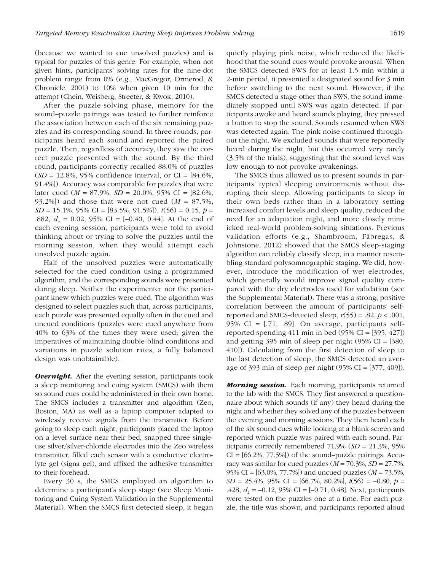(because we wanted to cue unsolved puzzles) and is typical for puzzles of this genre. For example, when not given hints, participants' solving rates for the nine-dot problem range from 0% (e.g., MacGregor, Ormerod, & Chronicle, 2001) to 10% when given 10 min for the attempt (Chein, Weisberg, Streeter, & Kwok, 2010).

After the puzzle-solving phase, memory for the sound–puzzle pairings was tested to further reinforce the association between each of the six remaining puzzles and its corresponding sound. In three rounds, participants heard each sound and reported the paired puzzle. Then, regardless of accuracy, they saw the correct puzzle presented with the sound. By the third round, participants correctly recalled 88.0% of puzzles  $(SD = 12.8\%, 95\%$  confidence interval, or CI =  $[84.6\%,$ 91.4%]). Accuracy was comparable for puzzles that were later cued  $(M = 87.9\%, SD = 20.0\%, 95\% \text{ CI} = [82.6\%,$ 93.2%]) and those that were not cued  $(M = 87.5\%$ , *SD* = 15.1%, 95% CI = [83.5%, 91.5%]), *t*(56) = 0.15, *p* = .882,  $d_z = 0.02$ , 95% CI = [-0.40, 0.44]. At the end of each evening session, participants were told to avoid thinking about or trying to solve the puzzles until the morning session, when they would attempt each unsolved puzzle again.

Half of the unsolved puzzles were automatically selected for the cued condition using a programmed algorithm, and the corresponding sounds were presented during sleep. Neither the experimenter nor the participant knew which puzzles were cued. The algorithm was designed to select puzzles such that, across participants, each puzzle was presented equally often in the cued and uncued conditions (puzzles were cued anywhere from 40% to 63% of the times they were used; given the imperatives of maintaining double-blind conditions and variations in puzzle solution rates, a fully balanced design was unobtainable).

**Overnight.** After the evening session, participants took a sleep monitoring and cuing system (SMCS) with them so sound cues could be administered in their own home. The SMCS includes a transmitter and algorithm (Zeo, Boston, MA) as well as a laptop computer adapted to wirelessly receive signals from the transmitter. Before going to sleep each night, participants placed the laptop on a level surface near their bed, snapped three singleuse silver/silver-chloride electrodes into the Zeo wireless transmitter, filled each sensor with a conductive electrolyte gel (signa gel), and affixed the adhesive transmitter to their forehead.

Every 30 s, the SMCS employed an algorithm to determine a participant's sleep stage (see Sleep Monitoring and Cuing System Validation in the Supplemental Material). When the SMCS first detected sleep, it began quietly playing pink noise, which reduced the likelihood that the sound cues would provoke arousal. When the SMCS detected SWS for at least 1.5 min within a 2-min period, it presented a designated sound for 3 min before switching to the next sound. However, if the SMCS detected a stage other than SWS, the sound immediately stopped until SWS was again detected. If participants awoke and heard sounds playing, they pressed a button to stop the sound. Sounds resumed when SWS was detected again. The pink noise continued throughout the night. We excluded sounds that were reportedly heard during the night, but this occurred very rarely (3.5% of the trials), suggesting that the sound level was low enough to not provoke awakenings.

The SMCS thus allowed us to present sounds in participants' typical sleeping environments without disrupting their sleep. Allowing participants to sleep in their own beds rather than in a laboratory setting increased comfort levels and sleep quality, reduced the need for an adaptation night, and more closely mimicked real-world problem-solving situations. Previous validation efforts (e.g., Shambroom, Fábregas, & Johnstone, 2012) showed that the SMCS sleep-staging algorithm can reliably classify sleep, in a manner resembling standard polysomnographic staging. We did, however, introduce the modification of wet electrodes, which generally would improve signal quality compared with the dry electrodes used for validation (see the Supplemental Material). There was a strong, positive correlation between the amount of participants' selfreported and SMCS-detected sleep,  $r(55) = .82$ ,  $p < .001$ , 95% CI =  $[0.71, 0.89]$ . On average, participants selfreported spending  $411$  min in bed (95% CI = [395,  $427$ ]) and getting  $395$  min of sleep per night (95% CI = [380, 410]). Calculating from the first detection of sleep to the last detection of sleep, the SMCS detected an average of 393 min of sleep per night (95% CI = [377, 409]).

*Morning session.* Each morning, participants returned to the lab with the SMCS. They first answered a questionnaire about which sounds (if any) they heard during the night and whether they solved any of the puzzles between the evening and morning sessions. They then heard each of the six sound cues while looking at a blank screen and reported which puzzle was paired with each sound. Participants correctly remembered 71.9% (*SD* = 21.3%, 95%  $CI = [66.2\%, 77.5\%]$  of the sound–puzzle pairings. Accuracy was similar for cued puzzles  $(M = 70.3\%, SD = 27.7\%$ , 95% CI = [63.0%, 77.7%]) and uncued puzzles (*M* = 73.5%, *SD* = 25.4%, 95% CI = [66.7%, 80.2%], *t*(56) = –0.80, *p* = .428,  $d_z = -0.12$ , 95% CI =  $[-0.71, 0.48]$ . Next, participants were tested on the puzzles one at a time. For each puzzle, the title was shown, and participants reported aloud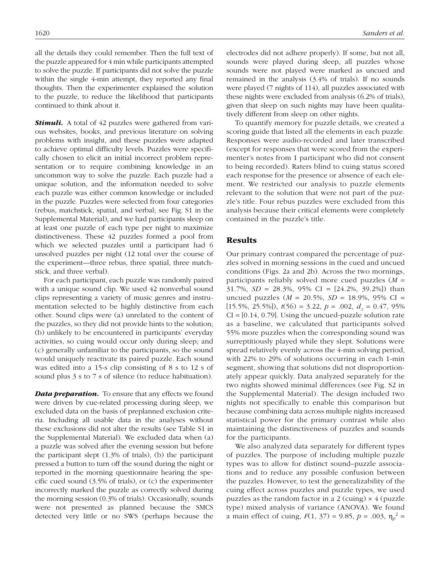all the details they could remember. Then the full text of the puzzle appeared for 4 min while participants attempted to solve the puzzle. If participants did not solve the puzzle within the single 4-min attempt, they reported any final thoughts. Then the experimenter explained the solution to the puzzle, to reduce the likelihood that participants continued to think about it.

**Stimuli.** A total of 42 puzzles were gathered from various websites, books, and previous literature on solving problems with insight, and these puzzles were adapted to achieve optimal difficulty levels. Puzzles were specifically chosen to elicit an initial incorrect problem representation or to require combining knowledge in an uncommon way to solve the puzzle. Each puzzle had a unique solution, and the information needed to solve each puzzle was either common knowledge or included in the puzzle. Puzzles were selected from four categories (rebus, matchstick, spatial, and verbal; see Fig. S1 in the Supplemental Material), and we had participants sleep on at least one puzzle of each type per night to maximize distinctiveness. These 42 puzzles formed a pool from which we selected puzzles until a participant had 6 unsolved puzzles per night (12 total over the course of the experiment—three rebus, three spatial, three matchstick, and three verbal).

For each participant, each puzzle was randomly paired with a unique sound clip. We used 42 nonverbal sound clips representing a variety of music genres and instrumentation selected to be highly distinctive from each other. Sound clips were (a) unrelated to the content of the puzzles, so they did not provide hints to the solution; (b) unlikely to be encountered in participants' everyday activities, so cuing would occur only during sleep; and (c) generally unfamiliar to the participants, so the sound would uniquely reactivate its paired puzzle. Each sound was edited into a 15-s clip consisting of 8 s to 12 s of sound plus 3 s to 7 s of silence (to reduce habituation).

**Data preparation.** To ensure that any effects we found were driven by cue-related processing during sleep, we excluded data on the basis of preplanned exclusion criteria. Including all usable data in the analyses without these exclusions did not alter the results (see Table S1 in the Supplemental Material). We excluded data when (a) a puzzle was solved after the evening session but before the participant slept (1.3% of trials), (b) the participant pressed a button to turn off the sound during the night or reported in the morning questionnaire hearing the specific cued sound (3.5% of trials), or (c) the experimenter incorrectly marked the puzzle as correctly solved during the morning session (0.3% of trials). Occasionally, sounds were not presented as planned because the SMCS detected very little or no SWS (perhaps because the electrodes did not adhere properly). If some, but not all, sounds were played during sleep, all puzzles whose sounds were not played were marked as uncued and remained in the analysis (3.4% of trials). If no sounds were played (7 nights of 114), all puzzles associated with these nights were excluded from analysis (6.2% of trials), given that sleep on such nights may have been qualitatively different from sleep on other nights.

To quantify memory for puzzle details, we created a scoring guide that listed all the elements in each puzzle. Responses were audio-recorded and later transcribed (except for responses that were scored from the experimenter's notes from 1 participant who did not consent to being recorded). Raters blind to cuing status scored each response for the presence or absence of each element. We restricted our analysis to puzzle elements relevant to the solution that were not part of the puzzle's title. Four rebus puzzles were excluded from this analysis because their critical elements were completely contained in the puzzle's title.

# Results

Our primary contrast compared the percentage of puzzles solved in morning sessions in the cued and uncued conditions (Figs. 2a and 2b). Across the two mornings, participants reliably solved more cued puzzles (*M* = 31.7%, *SD* = 28.3%, 95% CI = [24.2%, 39.2%]) than uncued puzzles (*M* = 20.5%, *SD* = 18.9%, 95% CI =  $[15.5\%, 25.5\%]$ ,  $t(56) = 3.22$ ,  $p = .002$ ,  $d_z = 0.47$ , 95%  $CI = [0.14, 0.79]$ . Using the uncued-puzzle solution rate as a baseline, we calculated that participants solved 55% more puzzles when the corresponding sound was surreptitiously played while they slept. Solutions were spread relatively evenly across the 4-min solving period, with 22% to 29% of solutions occurring in each 1-min segment, showing that solutions did not disproportionately appear quickly. Data analyzed separately for the two nights showed minimal differences (see Fig. S2 in the Supplemental Material). The design included two nights not specifically to enable this comparison but because combining data across multiple nights increased statistical power for the primary contrast while also maintaining the distinctiveness of puzzles and sounds for the participants.

We also analyzed data separately for different types of puzzles. The purpose of including multiple puzzle types was to allow for distinct sound–puzzle associations and to reduce any possible confusion between the puzzles. However, to test the generalizability of the cuing effect across puzzles and puzzle types, we used puzzles as the random factor in a 2 (cuing)  $\times$  4 (puzzle type) mixed analysis of variance (ANOVA). We found a main effect of cuing,  $F(1, 37) = 9.85$ ,  $p = .003$ ,  $\eta_p^2 =$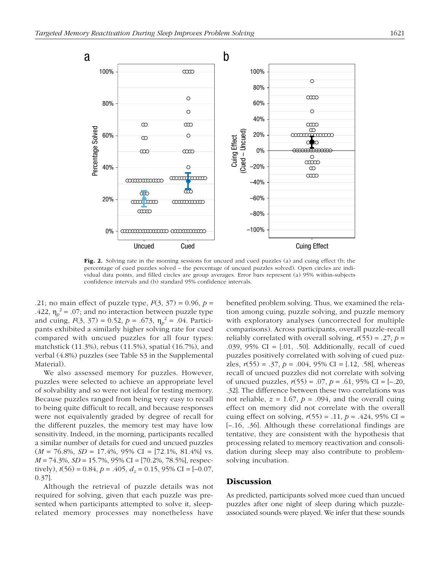

**Fig. 2.** Solving rate in the morning sessions for uncued and cued puzzles (a) and cuing effect (b; the percentage of cued puzzles solved – the percentage of uncued puzzles solved). Open circles are individual data points, and filled circles are group averages. Error bars represent (a) 95% within-subjects confidence intervals and (b) standard 95% confidence intervals.

.21; no main effect of puzzle type,  $F(3, 37) = 0.96$ ,  $p =$ .422,  $\eta_p^2$  = .07; and no interaction between puzzle type and cuing,  $F(3, 37) = 0.52$ ,  $p = .673$ ,  $\eta_p^2 = .04$ . Participants exhibited a similarly higher solving rate for cued compared with uncued puzzles for all four types: matchstick (11.3%), rebus (11.5%), spatial (16.7%), and verbal (4.8%) puzzles (see Table S3 in the Supplemental Material).

We also assessed memory for puzzles. However, puzzles were selected to achieve an appropriate level of solvability and so were not ideal for testing memory. Because puzzles ranged from being very easy to recall to being quite difficult to recall, and because responses were not equivalently graded by degree of recall for the different puzzles, the memory test may have low sensitivity. Indeed, in the morning, participants recalled a similar number of details for cued and uncued puzzles (*M* = 76.8%, *SD* = 17.4%, 95% CI = [72.1%, 81.4%] vs. *M* = 74.3%, *SD* = 15.7%, 95% CI = [70.2%, 78.5%], respectively),  $t(56) = 0.84$ ,  $p = .405$ ,  $d<sub>z</sub> = 0.15$ , 95% CI = [-0.07, 0.37].

Although the retrieval of puzzle details was not required for solving, given that each puzzle was presented when participants attempted to solve it, sleeprelated memory processes may nonetheless have

benefited problem solving. Thus, we examined the relation among cuing, puzzle solving, and puzzle memory with exploratory analyses (uncorrected for multiple comparisons). Across participants, overall puzzle-recall reliably correlated with overall solving,  $r(55) = .27$ ,  $p =$ .039, 95% CI = [.01, .50]. Additionally, recall of cued puzzles positively correlated with solving of cued puzzles,  $r(55) = .37$ ,  $p = .004$ , 95% CI = [.12, .58], whereas recall of uncued puzzles did not correlate with solving of uncued puzzles, *r*(55) = .07, *p* = .61, 95% CI = [–.20, .32]. The difference between these two correlations was not reliable,  $z = 1.67$ ,  $p = .094$ , and the overall cuing effect on memory did not correlate with the overall cuing effect on solving,  $r(55) = .11$ ,  $p = .424$ , 95% CI = [–.16, .36]. Although these correlational findings are tentative, they are consistent with the hypothesis that processing related to memory reactivation and consolidation during sleep may also contribute to problemsolving incubation.

# **Discussion**

As predicted, participants solved more cued than uncued puzzles after one night of sleep during which puzzleassociated sounds were played. We infer that these sounds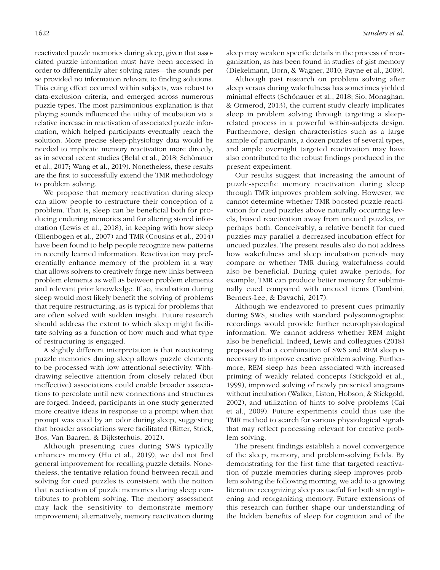reactivated puzzle memories during sleep, given that associated puzzle information must have been accessed in order to differentially alter solving rates—the sounds per se provided no information relevant to finding solutions. This cuing effect occurred within subjects, was robust to data-exclusion criteria, and emerged across numerous puzzle types. The most parsimonious explanation is that playing sounds influenced the utility of incubation via a relative increase in reactivation of associated puzzle information, which helped participants eventually reach the solution. More precise sleep-physiology data would be needed to implicate memory reactivation more directly, as in several recent studies (Belal et al., 2018; Schönauer et al., 2017; Wang et al., 2019). Nonetheless, these results are the first to successfully extend the TMR methodology to problem solving.

We propose that memory reactivation during sleep can allow people to restructure their conception of a problem. That is, sleep can be beneficial both for producing enduring memories and for altering stored information (Lewis et al., 2018), in keeping with how sleep (Ellenbogen et al., 2007) and TMR (Cousins et al., 2014) have been found to help people recognize new patterns in recently learned information. Reactivation may preferentially enhance memory of the problem in a way that allows solvers to creatively forge new links between problem elements as well as between problem elements and relevant prior knowledge. If so, incubation during sleep would most likely benefit the solving of problems that require restructuring, as is typical for problems that are often solved with sudden insight. Future research should address the extent to which sleep might facilitate solving as a function of how much and what type of restructuring is engaged.

A slightly different interpretation is that reactivating puzzle memories during sleep allows puzzle elements to be processed with low attentional selectivity. Withdrawing selective attention from closely related (but ineffective) associations could enable broader associations to percolate until new connections and structures are forged. Indeed, participants in one study generated more creative ideas in response to a prompt when that prompt was cued by an odor during sleep, suggesting that broader associations were facilitated (Ritter, Strick, Bos, Van Baaren, & Dijksterhuis, 2012).

Although presenting cues during SWS typically enhances memory (Hu et al., 2019), we did not find general improvement for recalling puzzle details. Nonetheless, the tentative relation found between recall and solving for cued puzzles is consistent with the notion that reactivation of puzzle memories during sleep contributes to problem solving. The memory assessment may lack the sensitivity to demonstrate memory improvement; alternatively, memory reactivation during sleep may weaken specific details in the process of reorganization, as has been found in studies of gist memory (Diekelmann, Born, & Wagner, 2010; Payne et al., 2009).

Although past research on problem solving after sleep versus during wakefulness has sometimes yielded minimal effects (Schönauer et al., 2018; Sio, Monaghan, & Ormerod, 2013), the current study clearly implicates sleep in problem solving through targeting a sleeprelated process in a powerful within-subjects design. Furthermore, design characteristics such as a large sample of participants, a dozen puzzles of several types, and ample overnight targeted reactivation may have also contributed to the robust findings produced in the present experiment.

Our results suggest that increasing the amount of puzzle-specific memory reactivation during sleep through TMR improves problem solving. However, we cannot determine whether TMR boosted puzzle reactivation for cued puzzles above naturally occurring levels, biased reactivation away from uncued puzzles, or perhaps both. Conceivably, a relative benefit for cued puzzles may parallel a decreased incubation effect for uncued puzzles. The present results also do not address how wakefulness and sleep incubation periods may compare or whether TMR during wakefulness could also be beneficial. During quiet awake periods, for example, TMR can produce better memory for subliminally cued compared with uncued items (Tambini, Berners-Lee, & Davachi, 2017).

Although we endeavored to present cues primarily during SWS, studies with standard polysomnographic recordings would provide further neurophysiological information. We cannot address whether REM might also be beneficial. Indeed, Lewis and colleagues (2018) proposed that a combination of SWS and REM sleep is necessary to improve creative problem solving. Furthermore, REM sleep has been associated with increased priming of weakly related concepts (Stickgold et al., 1999), improved solving of newly presented anagrams without incubation (Walker, Liston, Hobson, & Stickgold, 2002), and utilization of hints to solve problems (Cai et al., 2009). Future experiments could thus use the TMR method to search for various physiological signals that may reflect processing relevant for creative problem solving.

The present findings establish a novel convergence of the sleep, memory, and problem-solving fields. By demonstrating for the first time that targeted reactivation of puzzle memories during sleep improves problem solving the following morning, we add to a growing literature recognizing sleep as useful for both strengthening and reorganizing memory. Future extensions of this research can further shape our understanding of the hidden benefits of sleep for cognition and of the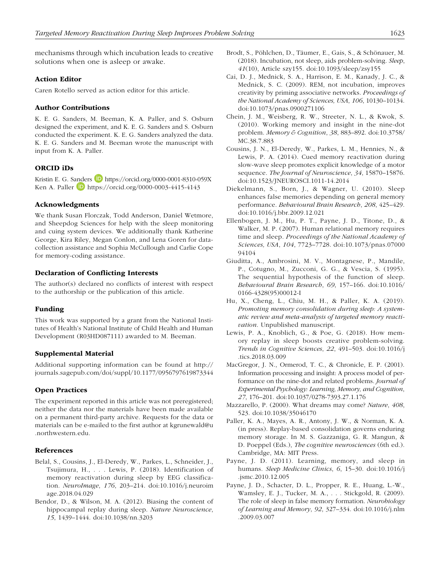mechanisms through which incubation leads to creative solutions when one is asleep or awake.

#### Action Editor

Caren Rotello served as action editor for this article.

#### Author Contributions

K. E. G. Sanders, M. Beeman, K. A. Paller, and S. Osburn designed the experiment, and K. E. G. Sanders and S. Osburn conducted the experiment. K. E. G. Sanders analyzed the data. K. E. G. Sanders and M. Beeman wrote the manuscript with input from K. A. Paller.

# ORCID iDs

Kristin E. G. Sanders D <https://orcid.org/0000-0001-8310-059X> Ken A. Paller **D** <https://orcid.org/0000-0003-4415-4143>

#### Acknowledgments

We thank Susan Florczak, Todd Anderson, Daniel Wetmore, and Sheepdog Sciences for help with the sleep monitoring and cuing system devices. We additionally thank Katherine George, Kira Riley, Megan Conlon, and Lena Goren for datacollection assistance and Sophia McCullough and Carlie Cope for memory-coding assistance.

#### Declaration of Conflicting Interests

The author(s) declared no conflicts of interest with respect to the authorship or the publication of this article.

#### Funding

This work was supported by a grant from the National Institutes of Health's National Institute of Child Health and Human Development (R03HD087111) awarded to M. Beeman.

#### Supplemental Material

Additional supporting information can be found at [http://](http://journals.sagepub.com/doi/suppl/10.1177/0956797619873344) [journals.sagepub.com/doi/suppl/10.1177/0956797619873344](http://journals.sagepub.com/doi/suppl/10.1177/0956797619873344)

#### Open Practices

The experiment reported in this article was not preregistered; neither the data nor the materials have been made available on a permanent third-party archive. Requests for the data or materials can be e-mailed to the first author at [kgrunewald@u](mailto:kgrunewald@u.northwestern.edu) [.northwestern.edu.](mailto:kgrunewald@u.northwestern.edu)

#### References

- Belal, S., Cousins, J., El-Deredy, W., Parkes, L., Schneider, J., Tsujimura, H., . . . Lewis, P. (2018). Identification of memory reactivation during sleep by EEG classification. *NeuroImage*, *176*, 203–214. doi:10.1016/j.neuroim age.2018.04.029
- Bendor, D., & Wilson, M. A. (2012). Biasing the content of hippocampal replay during sleep. *Nature Neuroscience*, *15*, 1439–1444. doi:10.1038/nn.3203
- Brodt, S., Pöhlchen, D., Täumer, E., Gais, S., & Schönauer, M. (2018). Incubation, not sleep, aids problem-solving. *Sleep*, *41*(10), Article szy155. doi:10.1093/sleep/zsy155
- Cai, D. J., Mednick, S. A., Harrison, E. M., Kanady, J. C., & Mednick, S. C. (2009). REM, not incubation, improves creativity by priming associative networks. *Proceedings of the National Academy of Sciences, USA*, *106*, 10130–10134. doi:10.1073/pnas.0900271106
- Chein, J. M., Weisberg, R. W., Streeter, N. L., & Kwok, S. (2010). Working memory and insight in the nine-dot problem. *Memory & Cognition*, *38*, 883–892. doi:10.3758/ MC.38.7.883
- Cousins, J. N., El-Deredy, W., Parkes, L. M., Hennies, N., & Lewis, P. A. (2014). Cued memory reactivation during slow-wave sleep promotes explicit knowledge of a motor sequence. *The Journal of Neuroscience*, *34*, 15870–15876. doi:10.1523/JNEUROSCI.1011-14.2014
- Diekelmann, S., Born, J., & Wagner, U. (2010). Sleep enhances false memories depending on general memory performance. *Behavioural Brain Research*, *208*, 425–429. doi:10.1016/j.bbr.2009.12.021
- Ellenbogen, J. M., Hu, P. T., Payne, J. D., Titone, D., & Walker, M. P. (2007). Human relational memory requires time and sleep. *Proceedings of the National Academy of Sciences, USA*, *104*, 7723–7728. doi:10.1073/pnas.07000 94104
- Giuditta, A., Ambrosini, M. V., Montagnese, P., Mandile, P., Cotugno, M., Zucconi, G. G., & Vescia, S. (1995). The sequential hypothesis of the function of sleep. *Behavioural Brain Research*, *69*, 157–166. doi:10.1016/ 0166-4328(95)00012-I
- Hu, X., Cheng, L., Chiu, M. H., & Paller, K. A. (2019). *Promoting memory consolidation during sleep: A systematic review and meta-analysis of targeted memory reactivation*. Unpublished manuscript.
- Lewis, P. A., Knoblich, G., & Poe, G. (2018). How memory replay in sleep boosts creative problem-solving. *Trends in Cognitive Sciences*, *22*, 491–503. doi:10.1016/j .tics.2018.03.009
- MacGregor, J. N., Ormerod, T. C., & Chronicle, E. P. (2001). Information processing and insight: A process model of performance on the nine-dot and related problems. *Journal of Experimental Psychology: Learning, Memory, and Cognition*, *27*, 176–201. doi:10.1037/0278-7393.27.1.176
- Mazzarello, P. (2000). What dreams may come? *Nature*, *408*, 523. doi:10.1038/35046170
- Paller, K. A., Mayes, A. R., Antony, J. W., & Norman, K. A. (in press). Replay-based consolidation governs enduring memory storage. In M. S. Gazzaniga, G. R. Mangun, & D. Poeppel (Eds.), *The cognitive neurosciences* (6th ed.). Cambridge, MA: MIT Press.
- Payne, J. D. (2011). Learning, memory, and sleep in humans. *Sleep Medicine Clinics*, *6*, 15–30. doi:10.1016/j .jsmc.2010.12.005
- Payne, J. D., Schacter, D. L., Propper, R. E., Huang, L.-W., Wamsley, E. J., Tucker, M. A., . . . Stickgold, R. (2009). The role of sleep in false memory formation. *Neurobiology of Learning and Memory*, *92*, 327–334. doi:10.1016/j.nlm .2009.03.007